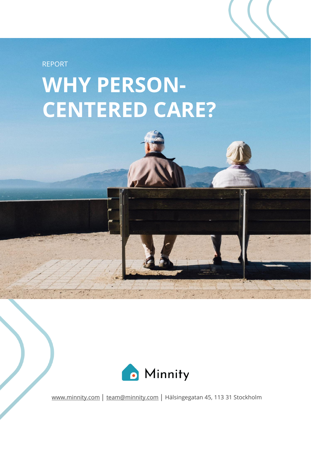

## **WHY PERSON-CENTERED CARE?**



[www.minnity.com](http://www.minnity.com/) | [team@minnity.com](mailto:team@minnity.com) | Hälsingegatan 45, 113 31 Stockholm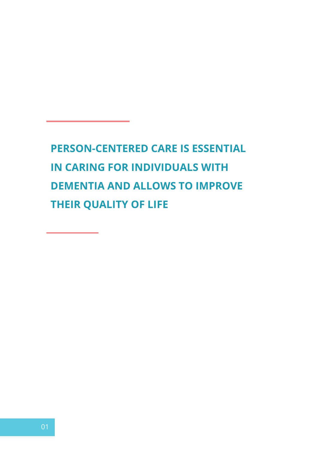**PERSON-CENTERED CARE IS ESSENTIAL IN CARING FOR INDIVIDUALS WITH DEMENTIA AND ALLOWS TO IMPROVE THEIR QUALITY OF LIFE**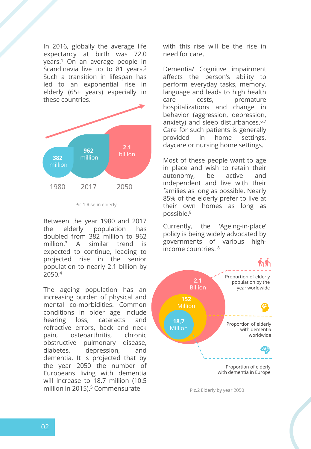In 2016, globally the average life expectancy at birth was 72.0 years. <sup>1</sup> On an average people in Scandinavia live up to 81 years.<sup>2</sup> Such a transition in lifespan has led to an exponential rise in elderly (65+ years) especially in these countries.



Pic.1 Rise in elderly

Between the year 1980 and 2017 the elderly population has doubled from 382 million to 962 million. <sup>3</sup> A similar trend is expected to continue, leading to projected rise in the senior population to nearly 2.1 billion by 2050. 4

The ageing population has an increasing burden of physical and mental co-morbidities. Common conditions in older age include hearing loss, cataracts and refractive errors, back and neck pain, osteoarthritis, chronic obstructive pulmonary disease, diabetes, depression, and dementia. It is projected that by the year 2050 the number of Europeans living with dementia will increase to 18.7 million (10.5 million in 2015). <sup>5</sup> Commensurate

with this rise will be the rise in need for care.

Dementia/ Cognitive impairment affects the person's ability to perform everyday tasks, memory, language and leads to high health care costs, premature hospitalizations and change in behavior (aggression, depression, anxiety) and sleep disturbances.<sup>6,7</sup> Care for such patients is generally provided in home settings, daycare or nursing home settings.

Most of these people want to age in place and wish to retain their autonomy, be active and independent and live with their families as long as possible. Nearly 85% of the elderly prefer to live at their own homes as long as possible. 8

Currently, the 'Ageing-in-place' policy is being widely advocated by governments of various highincome countries. 8



Pic.2 Elderly by year 2050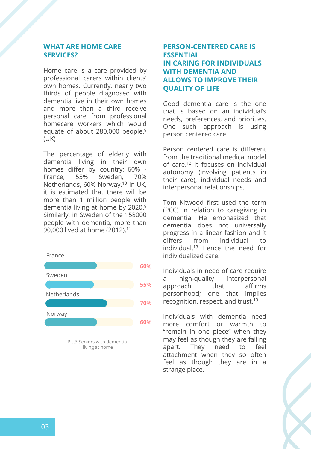#### **WHAT ARE HOME CARE SERVICES?**

Home care is a care provided by professional carers within clients' own homes. Currently, nearly two thirds of people diagnosed with dementia live in their own homes and more than a third receive personal care from professional homecare workers which would equate of about 280,000 people. 9 (UK)

The percentage of elderly with dementia living in their own homes differ by country; 60% - France, 55% Sweden, 70% Netherlands, 60% Norway. <sup>10</sup> In UK, it is estimated that there will be more than 1 million people with dementia living at home by 2020. 9 Similarly, in Sweden of the 158000 people with dementia, more than 90,000 lived at home (2012). 11



Pic.3 Seniors with dementia living at home

### **PERSON-CENTERED CARE IS ESSENTIAL IN CARING FOR INDIVIDUALS WITH DEMENTIA AND ALLOWS TO IMPROVE THEIR QUALITY OF LIFE**

Good dementia care is the one that is based on an individual's needs, preferences, and priorities. One such approach is using person centered care.

Person centered care is different from the traditional medical model of care. <sup>12</sup> It focuses on individual autonomy (involving patients in their care), individual needs and interpersonal relationships.

Tom Kitwood first used the term (PCC) in relation to caregiving in dementia. He emphasized that dementia does not universally progress in a linear fashion and it differs from individual to individual. <sup>13</sup> Hence the need for individualized care.

Individuals in need of care require a high-quality interpersonal approach that affirms personhood; one that implies recognition, respect, and trust.<sup>13</sup>

Individuals with dementia need more comfort or warmth to "remain in one piece" when they may feel as though they are falling apart. They need to feel attachment when they so often feel as though they are in a strange place.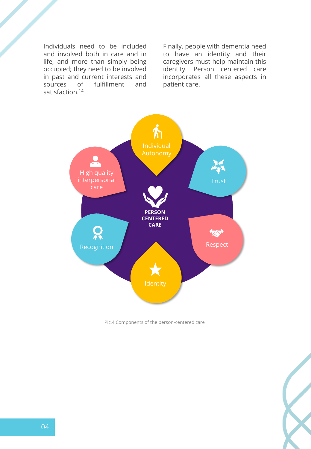Individuals need to be included and involved both in care and in life, and more than simply being occupied; they need to be involved in past and current interests and sources of fulfillment and satisfaction. 14

Finally, people with dementia need to have an identity and their caregivers must help maintain this identity. Person centered care incorporates all these aspects in patient care.



Pic.4 Components of the person-centered care

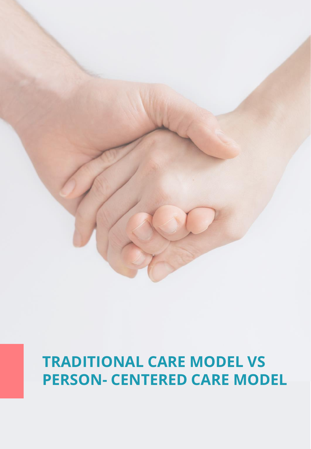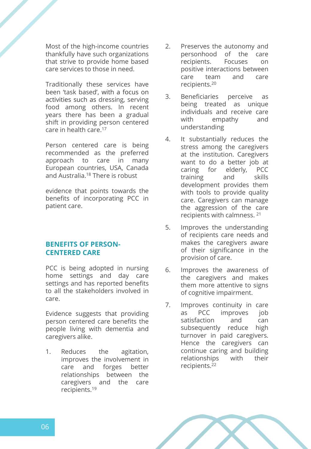Most of the high-income countries thankfully have such organizations that strive to provide home based care services to those in need.

Traditionally these services have been 'task based', with a focus on activities such as dressing, serving food among others. In recent years there has been a gradual shift in providing person centered care in health care. 17

Person centered care is being recommended as the preferred approach to care in many European countries, USA, Canada and Australia. <sup>18</sup> There is robust

evidence that points towards the benefits of incorporating PCC in patient care.

#### **BENEFITS OF PERSON-CENTERED CARE**

PCC is being adopted in nursing home settings and day care settings and has reported benefits to all the stakeholders involved in care.

Evidence suggests that providing person centered care benefits the people living with dementia and caregivers alike.

1. Reduces the agitation, improves the involvement in care and forges better relationships between the caregivers and the care recipients. 19

- 2. Preserves the autonomy and personhood of the care recipients. Focuses on positive interactions between care team and care recipients. 20
- 3. Beneficiaries perceive as being treated as unique individuals and receive care with empathy and understanding
- 4. It substantially reduces the stress among the caregivers at the institution. Caregivers want to do a better job at caring for elderly, PCC training and skills development provides them with tools to provide quality care. Caregivers can manage the aggression of the care recipients with calmness. 21
- 5. Improves the understanding of recipients care needs and makes the caregivers aware of their significance in the provision of care.
- 6. Improves the awareness of the caregivers and makes them more attentive to signs of cognitive impairment.
- 7. Improves continuity in care as PCC improves job satisfaction and can subsequently reduce high turnover in paid caregivers. Hence the caregivers can continue caring and building relationships with their recipients. 22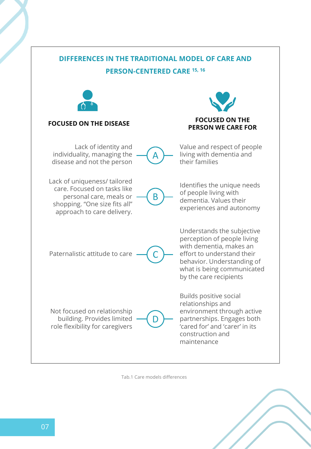

Tab.1 Care models differences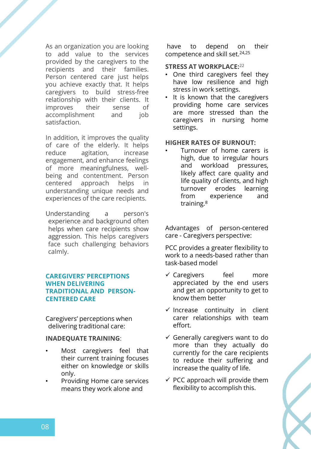As an organization you are looking to add value to the services provided by the caregivers to the recipients and their families. Person centered care just helps you achieve exactly that. It helps caregivers to build stress-free relationship with their clients. It improves their sense of accomplishment and job satisfaction.

In addition, it improves the quality of care of the elderly. It helps reduce agitation, increase engagement, and enhance feelings of more meaningfulness, wellbeing and contentment. Person centered approach helps in understanding unique needs and experiences of the care recipients.

Understanding a person's experience and background often helps when care recipients show aggression. This helps caregivers face such challenging behaviors calmly.

#### **CAREGIVERS' PERCEPTIONS WHEN DELIVERING TRADITIONAL AND PERSON-CENTERED CARE**

Caregivers' perceptions when delivering traditional care:

#### **INADEQUATE TRAINING**:

- Most caregivers feel that their current training focuses either on knowledge or skills only.
- Providing Home care services means they work alone and

have to depend on their competence and skill set. 24,25

#### **STRESS AT WORKPLACE:** 22

- One third caregivers feel they have low resilience and high stress in work settings.
- It is known that the caregivers providing home care services are more stressed than the caregivers in nursing home settings.

#### **HIGHER RATES OF BURNOUT:**

Turnover of home carers is high, due to irregular hours and workload pressures, likely affect care quality and life quality of clients, and high turnover erodes learning from experience and training.<sup>8</sup>

Advantages of person-centered care - Caregivers perspective:

PCC provides a greater flexibility to work to a needs-based rather than task-based model

- ✓ Caregivers feel more appreciated by the end users and get an opportunity to get to know them better
- $\checkmark$  Increase continuity in client carer relationships with team effort.
- $\checkmark$  Generally caregivers want to do more than they actually do currently for the care recipients to reduce their suffering and increase the quality of life.
- $\checkmark$  PCC approach will provide them flexibility to accomplish this.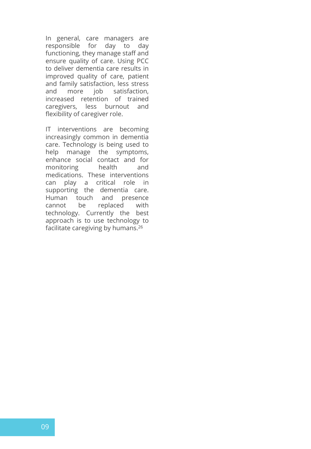In general, care managers are responsible for day to day functioning, they manage staff and ensure quality of care. Using PCC to deliver dementia care results in improved quality of care, patient and family satisfaction, less stress and more job satisfaction, increased retention of trained caregivers, less burnout and flexibility of caregiver role.

IT interventions are becoming increasingly common in dementia care. Technology is being used to help manage the symptoms, enhance social contact and for monitoring health and medications. These interventions can play a critical role in supporting the dementia care. Human touch and presence cannot be replaced with technology. Currently the best approach is to use technology to facilitate caregiving by humans. 26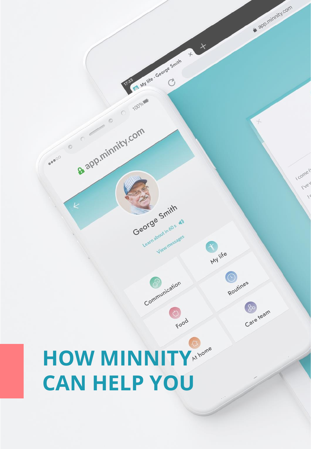# HOW MINNITY **EXAMPLE CAN HELP YOU**

a app.minnity.com

I come fr IVEV

 $\sqrt{2}$ 

 $\times$ 

 $+$ 

**PA Mylle - George Smith** 

George Smith

Learnabout in 60 s 41

Communication

Food

about in a sages

M life

Routines

 $\frac{1}{6}$ 

Care team

100%

a app.minnity.com

 $\circ$ 

...

 $\circ$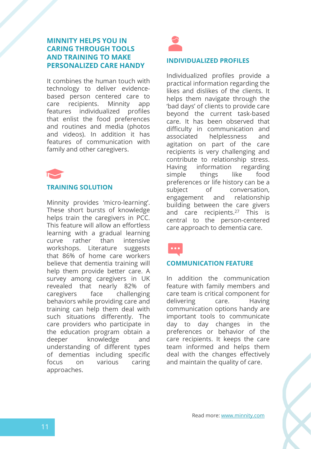#### **MINNITY HELPS YOU IN CARING THROUGH TOOLS AND TRAINING TO MAKE PERSONALIZED CARE HANDY**

It combines the human touch with technology to deliver evidencebased person centered care to care recipients. Minnity app features individualized profiles that enlist the food preferences and routines and media (photos and videos). In addition it has features of communication with family and other caregivers.



#### **TRAINING SOLUTION**

Minnity provides 'micro-learning'. These short bursts of knowledge helps train the caregivers in PCC. This feature will allow an effortless learning with a gradual learning curve rather than intensive workshops. Literature suggests that 86% of home care workers believe that dementia training will help them provide better care. A survey among caregivers in UK revealed that nearly 82% of caregivers face challenging behaviors while providing care and training can help them deal with such situations differently. The care providers who participate in the education program obtain a deeper knowledge and understanding of different types of dementias including specific focus on various caring approaches.



#### **INDIVIDUALIZED PROFILES**

Individualized profiles provide a practical information regarding the likes and dislikes of the clients. It helps them navigate through the 'bad days' of clients to provide care beyond the current task-based care. It has been observed that difficulty in communication and associated helplessness and agitation on part of the care recipients is very challenging and contribute to relationship stress. Having information regarding simple things like food preferences or life history can be a subject of conversation, engagement and relationship building between the care givers and care recipients. <sup>27</sup> This is central to the person-centered care approach to dementia care.



#### **COMMUNICATION FEATURE**

In addition the communication feature with family members and care team is critical component for delivering care. Having communication options handy are important tools to communicate day to day changes in the preferences or behavior of the care recipients. It keeps the care team informed and helps them deal with the changes effectively and maintain the quality of care.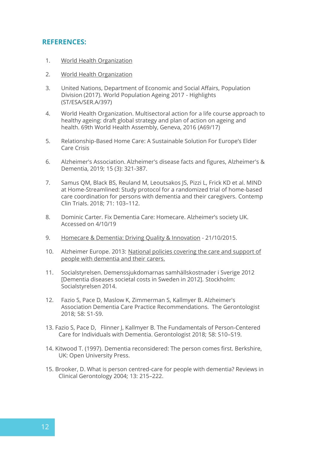#### **REFERENCES:**

- 1. [World Health Organization](https://www.who.int/gho/mortality_burden_disease/life_tables/situation_trends_text/en/)
- 2. [World Health Organization](https://www.who.int/countries/swe/en/)
- 3. United Nations, Department of Economic and Social Affairs, Population Division (2017). World Population Ageing 2017 - Highlights (ST/ESA/SER.A/397)
- 4. World Health Organization. Multisectoral action for a life course approach to healthy ageing: draft global strategy and plan of action on ageing and health. 69th World Health Assembly, Geneva, 2016 (A69/17)
- 5. Relationship-Based Home Care: A Sustainable Solution For Europe's Elder Care Crisis
- 6. Alzheimer's Association. Alzheimer's disease facts and figures, Alzheimer's & Dementia, 2019; 15 (3): 321-387.
- 7. Samus QM, Black BS, Reuland M, Leoutsakos JS, Pizzi L, Frick KD et al. MIND at Home-Streamlined: Study protocol for a randomized trial of home-based care coordination for persons with dementia and their caregivers. Contemp Clin Trials. 2018; 71: 103–112.
- 8. Dominic Carter. Fix Dementia Care: Homecare. Alzheimer's society UK. Accessed on 4/10/19
- 9. [Homecare & Dementia: Driving Quality & Innovation](https://www.ukhca.co.uk/mediastatement_information.aspx?releaseID=232859) 21/10/2015.
- 10. Alzheimer Europe. 2013: National policies covering the care and support of people with dementia and their carers.
- 11. Socialstyrelsen. Demenssjukdomarnas samhällskostnader i Sverige 2012 [Dementia diseases societal costs in Sweden in 2012]. Stockholm: Socialstyrelsen 2014.
- 12. Fazio S, Pace D, Maslow K, Zimmerman S, Kallmyer B. Alzheimer's Association Dementia Care Practice Recommendations. The Gerontologist 2018; 58: S1-S9.
- 13. Fazio S, Pace D, Flinner J, Kallmyer B. The Fundamentals of Person-Centered Care for Individuals with Dementia. Gerontologist 2018; 58: S10–S19.
- 14. Kitwood T. (1997). Dementia reconsidered: The person comes first. Berkshire, UK: Open University Press.
- 15. Brooker, D. What is person centred-care for people with dementia? Reviews in Clinical Gerontology 2004; 13: 215–222.